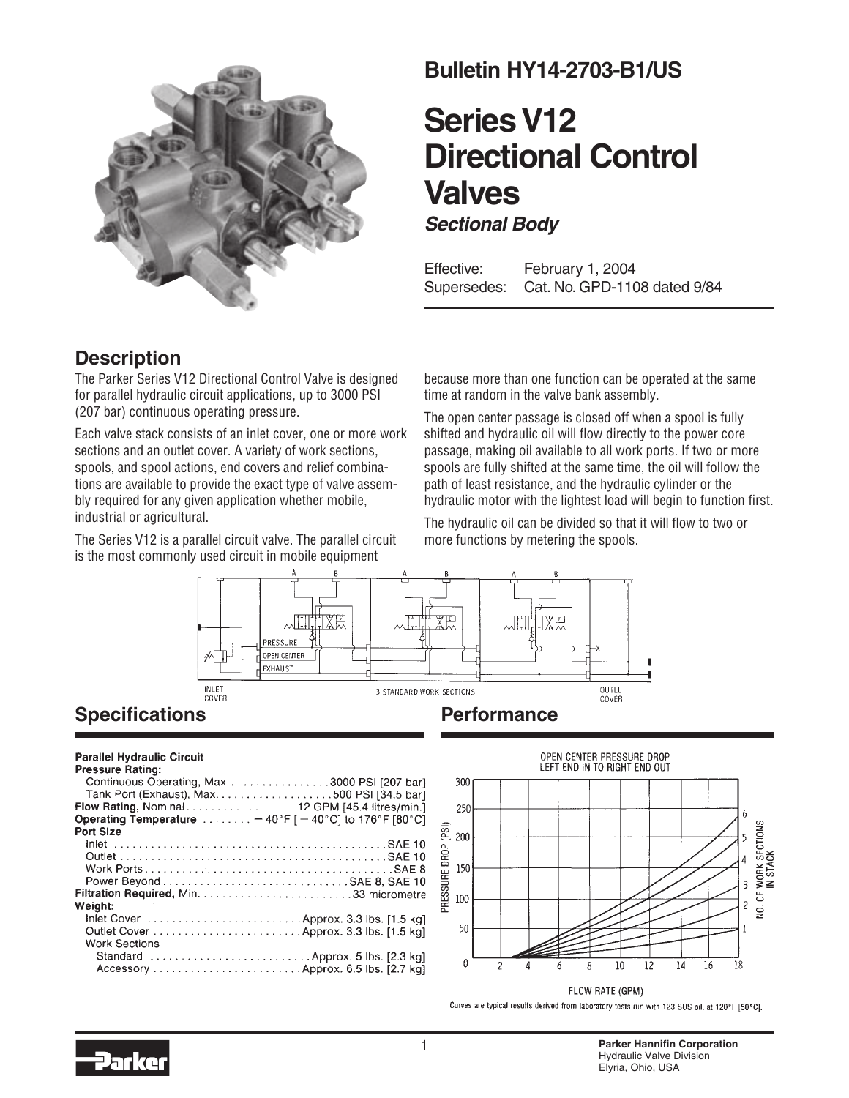

## **Bulletin HY14-2703-B1/US**

## **Series V12 Directional Control Valves Sectional Body**

Effective: February 1, 2004 Supersedes: Cat. No. GPD-1108 dated 9/84

### **Description**

The Parker Series V12 Directional Control Valve is designed for parallel hydraulic circuit applications, up to 3000 PSI (207 bar) continuous operating pressure.

Each valve stack consists of an inlet cover, one or more work sections and an outlet cover. A variety of work sections, spools, and spool actions, end covers and relief combinations are available to provide the exact type of valve assembly required for any given application whether mobile, industrial or agricultural.

The Series V12 is a parallel circuit valve. The parallel circuit is the most commonly used circuit in mobile equipment

because more than one function can be operated at the same time at random in the valve bank assembly.

The open center passage is closed off when a spool is fully shifted and hydraulic oil will flow directly to the power core passage, making oil available to all work ports. If two or more spools are fully shifted at the same time, the oil will follow the path of least resistance, and the hydraulic cylinder or the hydraulic motor with the lightest load will begin to function first.

The hydraulic oil can be divided so that it will flow to two or more functions by metering the spools.



## **Specifications**

#### **Parallel Hydraulic Circuit**

| <b>Pressure Rating:</b>                                                               |
|---------------------------------------------------------------------------------------|
| Continuous Operating, Max3000 PSI [207 bar]                                           |
|                                                                                       |
| Flow Rating, Nominal 12 GPM [45.4 litres/min.]                                        |
| Operating Temperature $\ldots \ldots -40^{\circ}F$ [ $-40^{\circ}C$ ] to 176°F [80°C] |
| <b>Port Size</b>                                                                      |
|                                                                                       |
|                                                                                       |
|                                                                                       |
|                                                                                       |
|                                                                                       |
| Weight:                                                                               |
|                                                                                       |
|                                                                                       |
| <b>Work Sections</b>                                                                  |
| Standard  Approx. 5 lbs. [2.3 kg]                                                     |
|                                                                                       |
|                                                                                       |



Curves are typical results derived from laboratory tests run with 123 SUS oil, at 120°F [50°C].

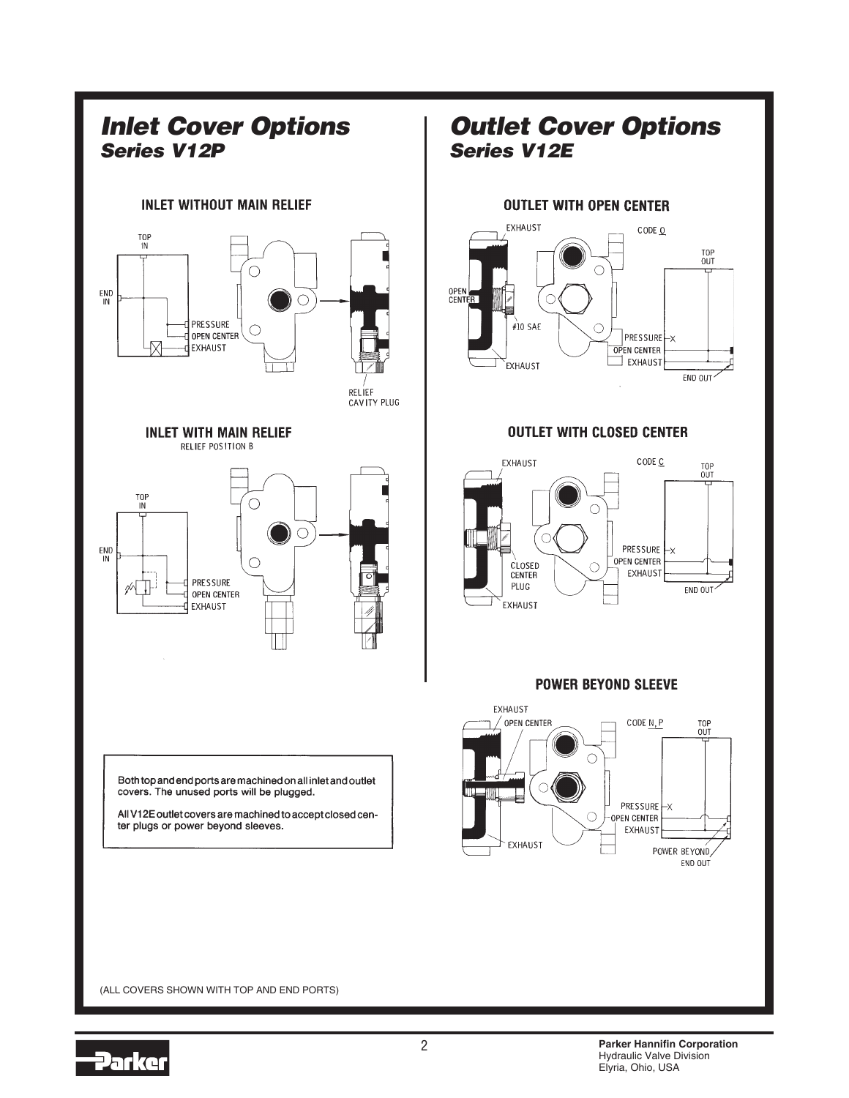

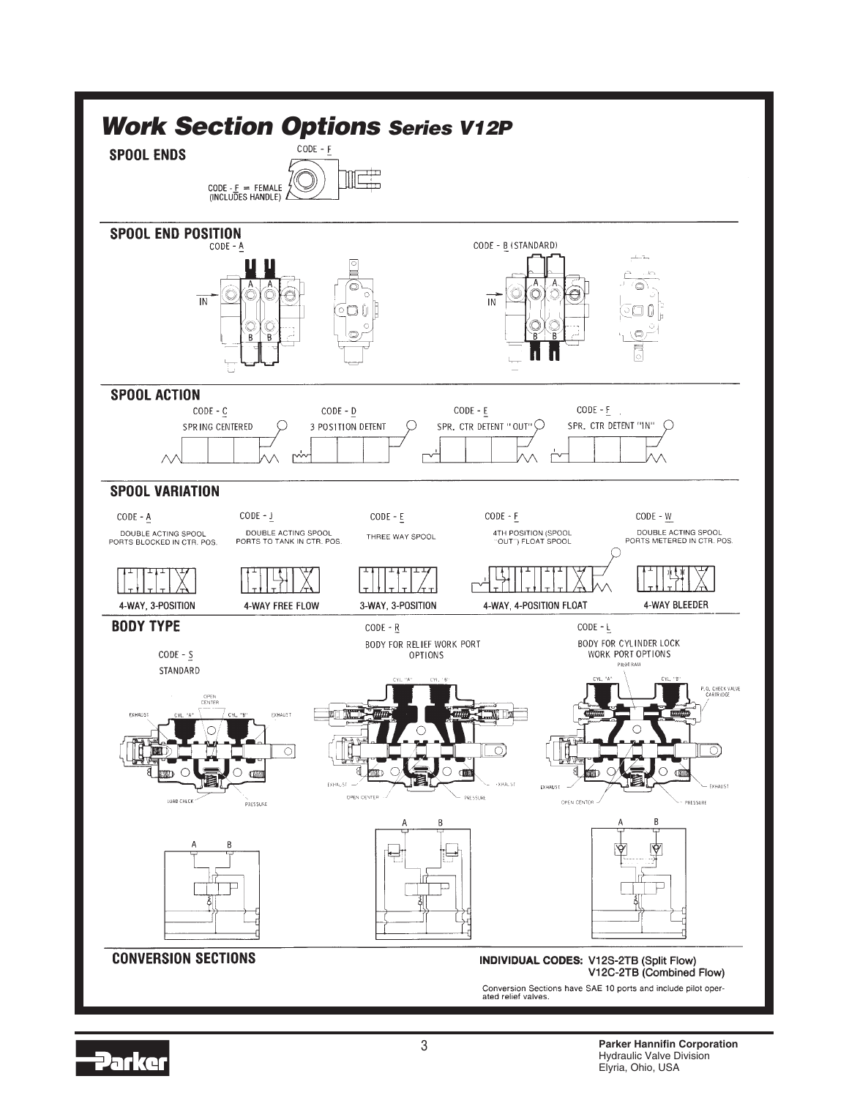

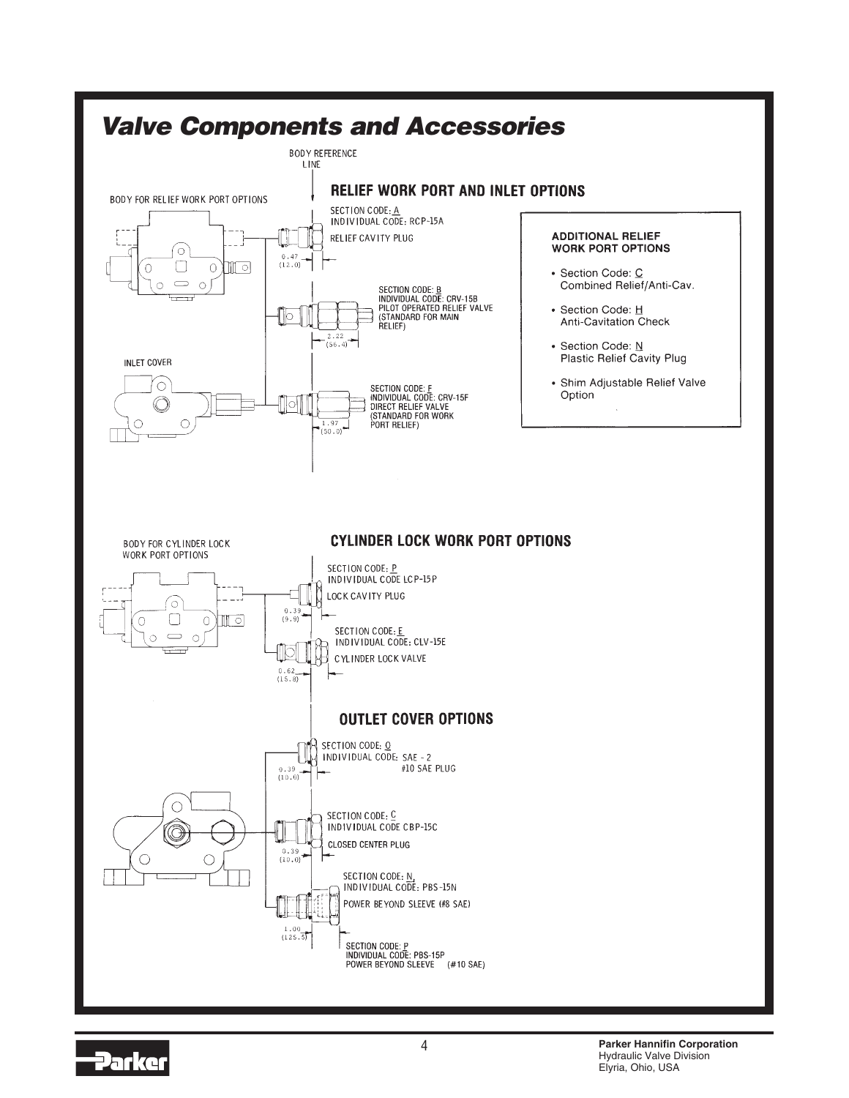

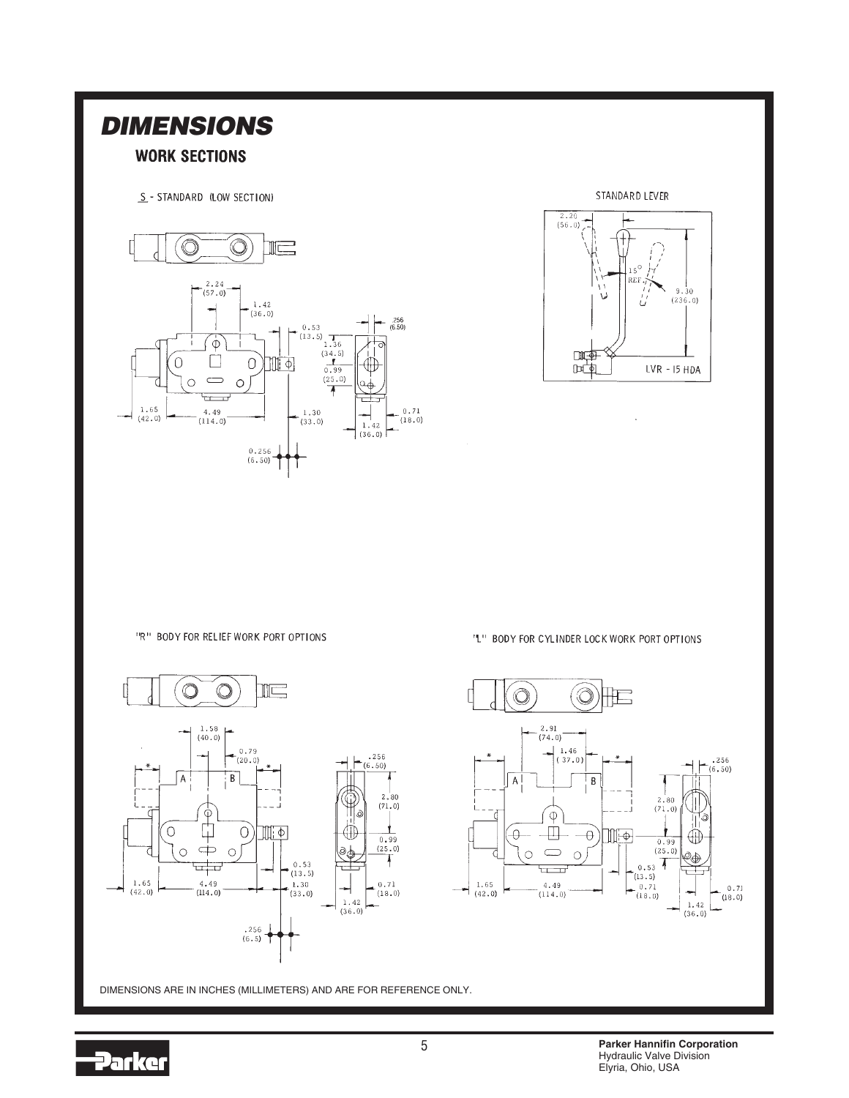

DIMENSIONS ARE IN INCHES (MILLIMETERS) AND ARE FOR REFERENCE ONLY.

5





"R" BODY FOR RELIEF WORK PORT OPTIONS

**DIMENSIONS**

**WORK SECTIONS** 

 $\circledcirc$ 

 $\bigcirc$ 

 $\frac{1.65}{(42.0)}$ 

 $\bigcap$ 

S - STANDARD (LOW SECTION)

 $\frac{2.24}{(57.0)}$ 

 $\Phi$ 

 $\Box$ 

 $\Rightarrow$ 

규  $\overline{\phantom{a}}$ 

 $\frac{4.49}{(114.0)}$ 

 $\circledcirc$ 

 $\mathbb{I}$ 

 $\mathbb{H}[\Phi]$ 

 $^{0.53}$ <br>(13.5) 1.36<br>(34.5)

 $-\frac{1.30}{(33.0)}$ 

 $(34.5)$ <br>0.99

 $(25.0)$ 

7

 $.256$ <br>(6.50)

 $0.71$ 

 $(18.0)$ 

 $\oplus$ 

്ക

 $1.42$  $(36.0)$ 

Ë

 $^{1.42}_{(36.0)}$ 

 $\bigcirc$ 

 $0.256$  $(6.50)$ 

 $\circ$ 

"L" BODY FOR CYLINDER LOCK WORK PORT OPTIONS



 $\bar{z}$ 

STANDARD LEVER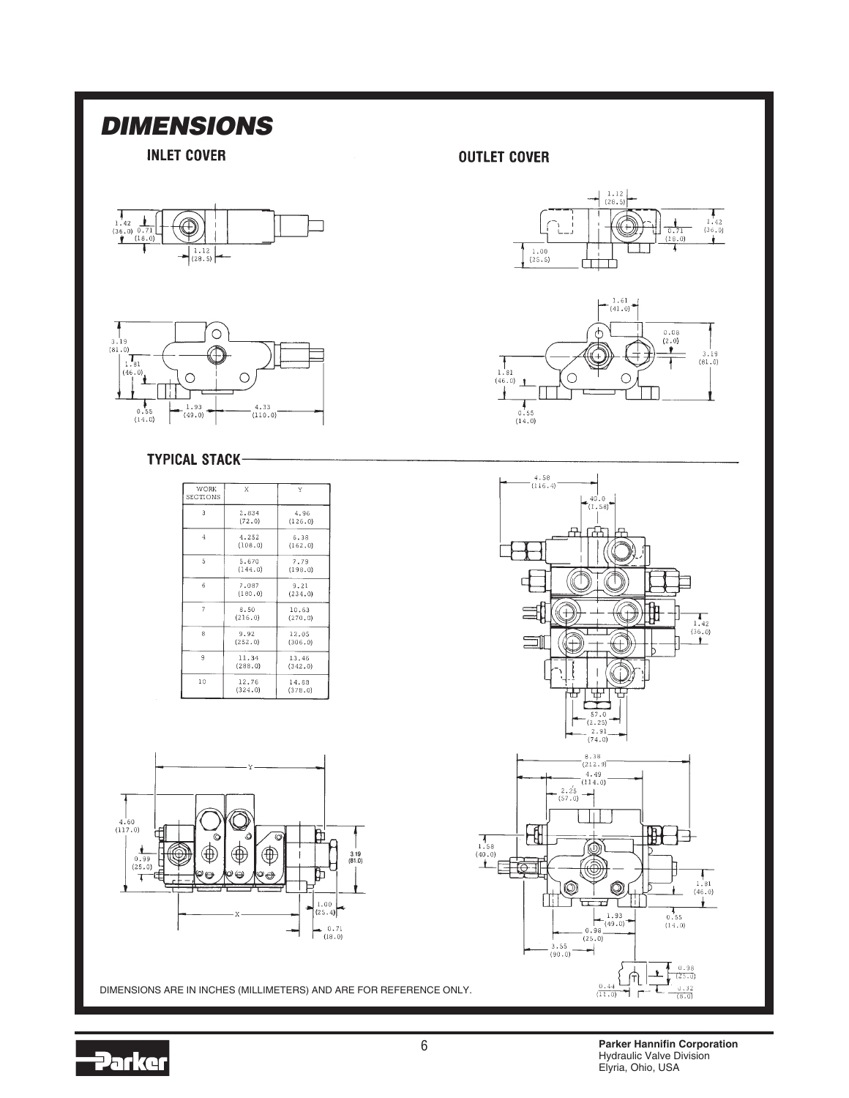# **DIMENSIONS**

**INLET COVER** 





### **TYPICAL STACK-**

| <b>WORK</b><br>SECTIONS | Х                 | Y                |
|-------------------------|-------------------|------------------|
| 3                       | 2.834<br>(72, 0)  | 4.96<br>(126.0)  |
| 4                       | 4.252<br>(108.0)  | 6.38<br>(162.0)  |
| 5                       | 5.670<br>(144.0)  | 7.79<br>(198.0)  |
| 6                       | 7.087<br>(180, 0) | 9.21<br>(234.0)  |
| $\overline{7}$          | 8.50<br>(216, 0)  | 10.63<br>(270.0) |
| R                       | 9.92<br>(252.0)   | 12.05<br>(306.0) |
| 9                       | 11.34<br>(288.0)  | 13,46<br>(342.0) |
| 10                      | 12.76<br>(324, 0) | 14.88<br>(378.0) |



DIMENSIONS ARE IN INCHES (MILLIMETERS) AND ARE FOR REFERENCE ONLY.

### **OUTLET COVER**

 $\overline{1}$ 







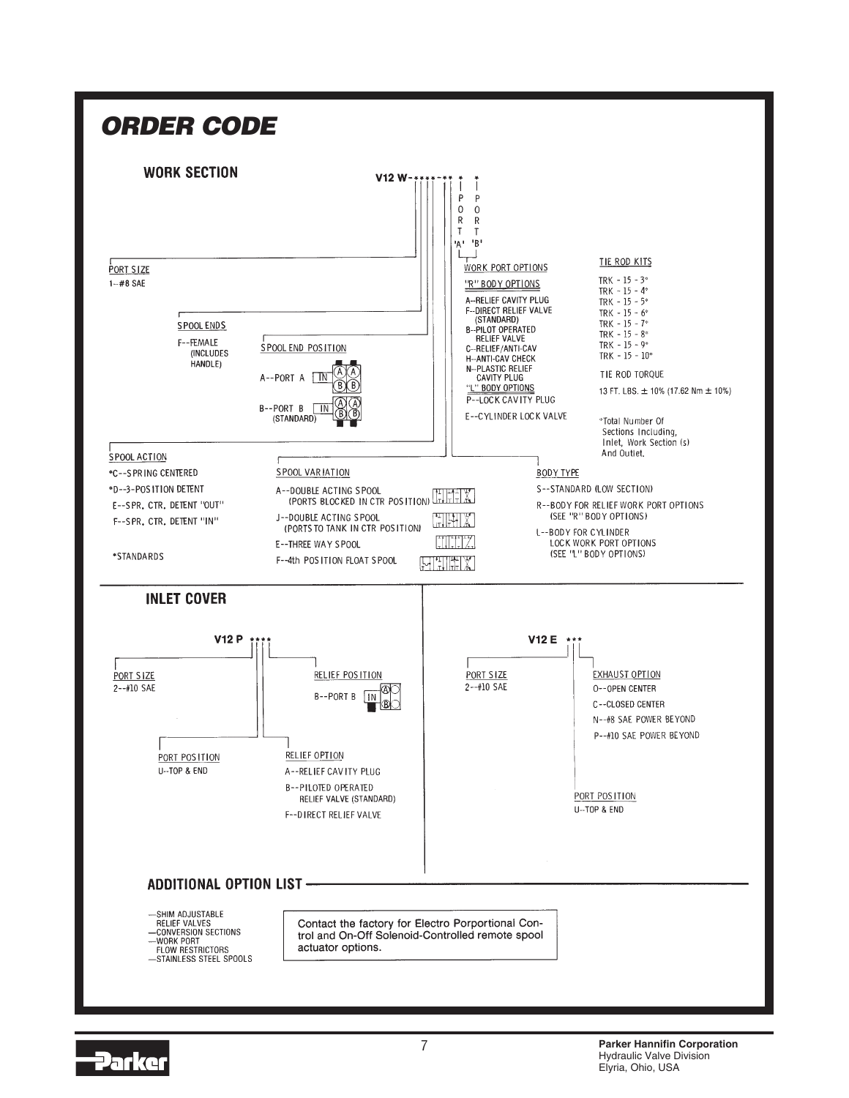